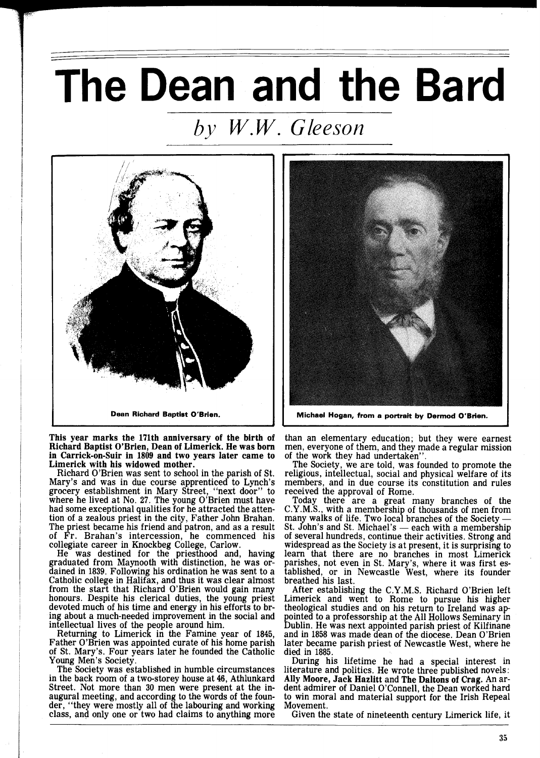## The Dean and the Bard

## *by W. W. Gleeson*



This year marks the 171th anniversary of the birth of Richard Baptist O'Brien, Dean of Limerick. He was born in Carrick-on-Suir in 1809 and two years later came to Limerick with his widowed mother.

Richard O'Brien was sent to school in the parish of St.<br>Mary's and was in due course apprenticed to Lynch's Mary's and was in due course apprenticed to Lynch's grocery establishment in Mary Street, "next door" to where he lived at No. 27. The young O'Brien must have had some exceptional qualities for he attracted the attention of a zealous priest in the city, Father John Brahan. The priest became his friend and patron, and as a result of Fr. Brahan's intercession, he commenced his collegiate career in Knockbeg College, Carlow.

He was destined for the priesthood and, having graduated from Maynooth with distinction, he was ordained in 1839. Following his ordination he was sent to a Catholic college in Halifax, and thus it was clear almost from the start that Richard O'Brien would gain many honours. Despite his clerical duties, the young priest devoted much of his time and energy in his efforts to bring about a much-needed improvement in the social and intellectual lives of the people around him. Returning to Limerick in the Famine year of 1845,

Father O'Brien was appointed curate of his home parish of St. Mary's. Four years later he founded the Catholic Young Men's Society.

The Society was established in humble circumstances in the back room of a two-storey house at 46, Athlunkard Street. Not more than 30 men were present at the inaugural meeting, and according to the words of the foun-<br>der, "they were mostly all of the labouring and working class, and only one or two had claims to anything more



than an elementary education; but they were earnest men, everyone of them, and they made a regular mission of the work they had undertaken".

The Society, we are told, was founded to promote the religious, intellectual, social and physical welfare of its members, and in due course its constitution and rules received the approval of Rome.

Today there are a great many branches of the C.Y .M.S., with a membership of thousands of men from Today there are a great many branches of the C.Y.M.S., with a membership of thousands of men from<br>many walks of life. Two local branches of the Society —<br>St. John's and St. Mighael's C.Y.M.S., with a membership of thousands of men from many walks of life. Two local branches of the Society — St. John's and St. Michael's — each with a membership of several hundreds, continue their activities. Strong and of several hundreds, continue their activities. Strong and widespread as the Society is at present, it is surprising to learn that there are no branches in most Limerick parishes, not even in St. Mary's, where it was first established, or in Newcastle West, where its founder breathed his last.

After establishing the C.Y.M.S. Richard O'Brien left<br>Limerick and went to Rome to pursue his higher theological studies and on his return to Ireland was appointed to a professorship at the All Hollows Seminary in Dublin. He was next appointed parish priest of Kilfinane and in 1858 was made dean of the diocese. Dean O'Brien later became parish priest of Newcastle West, where he died in 1885.

During his lifetime he had a special interest in literature and politics. He wrote three published novels: Ally Moore, Jack Hazlitt and The Daltons of Crag. An ardent admirer of Daniel O'Connell, the Dean worked hard to win moral and material support for the Irish Repeal Movement.

Given the state of nineteenth century Limerick life, it